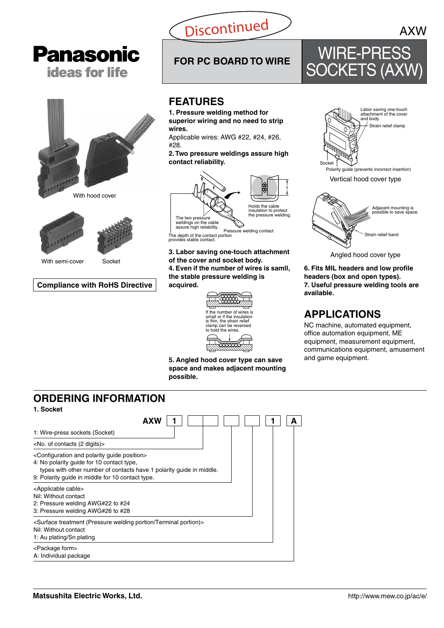

# **FOR PC BOARD TO WIRE** WIRE-PRESS SOCKETS (AXW)



Angled hood cover type

**6. Fits MIL headers and low profile headers (box and open types). 7. Useful pressure welding tools are available.**

### **APPLICATIONS**

NC machine, automated equipment, office automation equipment, ME equipment, measurement equipment, communications equipment, amusement and game equipment.







With semi-cover Socket

#### **Compliance with RoHS Directive**

**Panasonic** 

**ideas for life** 

### **FEATURES**

**1. Pressure welding method for superior wiring and no need to strip wires.**

Applicable wires: AWG #22, #24, #26,

**2. Two pressure weldings assure high contact reliability.**



Pressure welding contact weldings on the cable assure high reliability. The depth of the contact portion

provides stable contact.

**3. Labor saving one-touch attachment of the cover and socket body. 4. Even if the number of wires is samll, the stable pressure welding is acquired.**



**5. Angled hood cover type can save space and makes adjacent mounting possible.**

### **ORDERING INFORMATION**

**1. Socket**

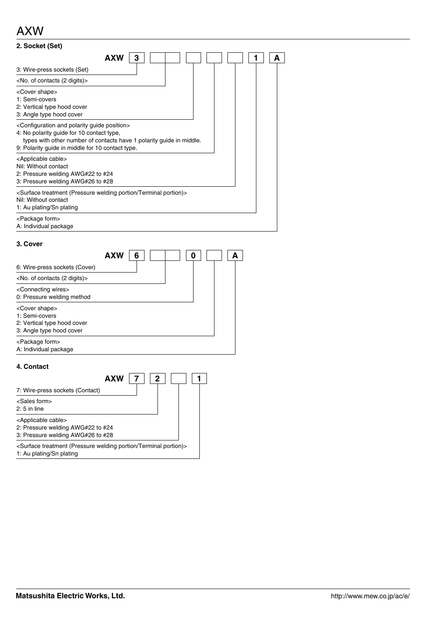### AXW

| 2. Socket (Set)                                                                                                                                                                                                                                     |
|-----------------------------------------------------------------------------------------------------------------------------------------------------------------------------------------------------------------------------------------------------|
| AXW<br>3<br>A                                                                                                                                                                                                                                       |
| 3: Wire-press sockets (Set)                                                                                                                                                                                                                         |
| <no. (2="" contacts="" digits)="" of=""></no.>                                                                                                                                                                                                      |
| <cover shape=""><br/>1: Semi-covers<br/>2: Vertical type hood cover<br/>3: Angle type hood cover</cover>                                                                                                                                            |
| <configuration and="" guide="" polarity="" position=""><br/>4: No polarity guide for 10 contact type,<br/>types with other number of contacts have 1 polarity guide in middle.<br/>9: Polarity guide in middle for 10 contact type.</configuration> |
| <applicable cable=""><br/>Nil: Without contact<br/>2: Pressure welding AWG#22 to #24<br/>3: Pressure welding AWG#26 to #28</applicable>                                                                                                             |
| <surface (pressure="" portion="" portion)="" terminal="" treatment="" welding=""><br/>Nil: Without contact<br/>1: Au plating/Sn plating</surface>                                                                                                   |
| <package form=""><br/>A: Individual package</package>                                                                                                                                                                                               |

#### **3. Cover**

|                                                                                                          | AXW | Բ |  |  |  |
|----------------------------------------------------------------------------------------------------------|-----|---|--|--|--|
| 6: Wire-press sockets (Cover)                                                                            |     |   |  |  |  |
| <no. (2="" contacts="" digits)="" of=""></no.>                                                           |     |   |  |  |  |
| <connecting wires=""><br/>0: Pressure welding method</connecting>                                        |     |   |  |  |  |
| <cover shape=""><br/>1: Semi-covers<br/>2: Vertical type hood cover<br/>3: Angle type hood cover</cover> |     |   |  |  |  |
| <package form=""><br/>A: Individual package</package>                                                    |     |   |  |  |  |

#### **4. Contact**

| AXW                                                                                                                      | 2 |  |
|--------------------------------------------------------------------------------------------------------------------------|---|--|
| 7: Wire-press sockets (Contact)                                                                                          |   |  |
| <sales form=""><br/><math>2:5</math> in line</sales>                                                                     |   |  |
| <applicable cable=""><br/>2: Pressure welding AWG#22 to #24<br/>3: Pressure welding AWG#26 to #28</applicable>           |   |  |
| <surface (pressure="" portion="" portion)="" terminal="" treatment="" welding=""><br/>1: Au plating/Sn plating</surface> |   |  |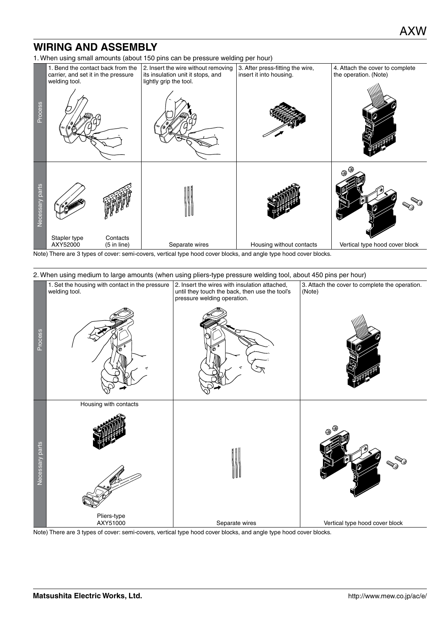### **WIRING AND ASSEMBLY**

1. When using small amounts (about 150 pins can be pressure welding per hour)



Note) There are 3 types of cover: semi-covers, vertical type hood cover blocks, and angle type hood cover blocks.

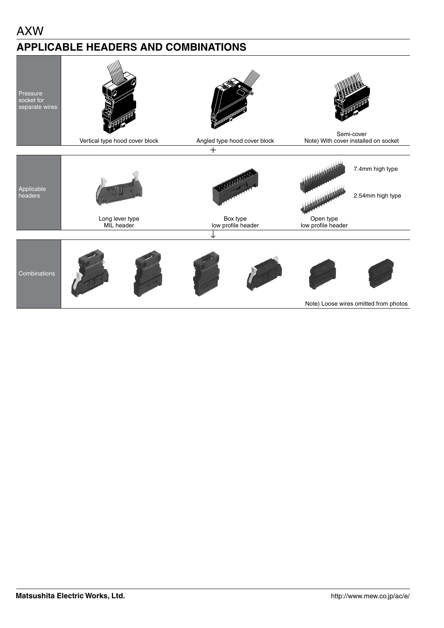### AXW

### **APPLICABLE HEADERS AND COMBINATIONS**

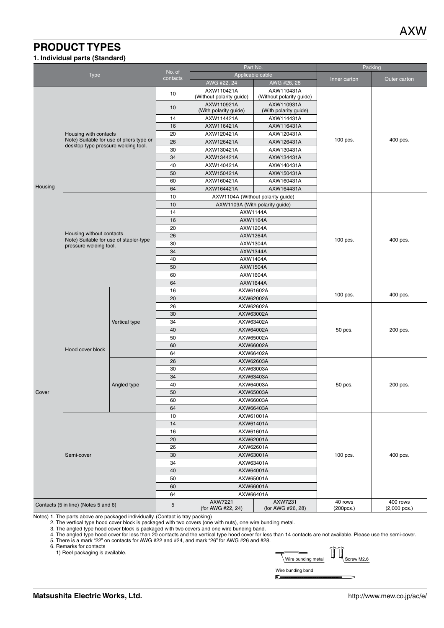### **PRODUCT TYPES**

#### **1. Individual parts (Standard)**

|                                      |                                        |                                          | Part No.                            |                                        |                                        | Packing                                 |              |  |
|--------------------------------------|----------------------------------------|------------------------------------------|-------------------------------------|----------------------------------------|----------------------------------------|-----------------------------------------|--------------|--|
|                                      | Type                                   |                                          | No. of<br>contacts                  |                                        | Applicable cable                       | Inner carton                            | Outer carton |  |
|                                      |                                        |                                          |                                     | AWG #22, 24                            | AWG #26, 28                            |                                         |              |  |
|                                      |                                        |                                          | 10                                  | AXW110421A<br>(Without polarity guide) | AXW110431A<br>(Without polarity guide) |                                         |              |  |
|                                      |                                        | 10                                       | AXW110921A<br>(With polarity guide) | AXW110931A<br>(With polarity guide)    |                                        |                                         |              |  |
|                                      |                                        |                                          | 14                                  | AXW114421A                             | AXW114431A                             |                                         |              |  |
|                                      |                                        |                                          | 16                                  | AXW116421A                             | AXW116431A                             |                                         |              |  |
|                                      | Housing with contacts                  |                                          | 20                                  | AXW120421A                             | AXW120431A                             |                                         |              |  |
|                                      |                                        | Note) Suitable for use of pliers type or | 26                                  | AXW126421A                             | AXW126431A                             | 100 pcs.                                | 400 pcs.     |  |
|                                      | desktop type pressure welding tool.    |                                          | 30                                  | AXW130421A                             | AXW130431A                             |                                         |              |  |
|                                      |                                        |                                          | 34                                  | AXW134421A                             | AXW134431A                             |                                         |              |  |
|                                      |                                        |                                          | 40                                  | AXW140421A                             | AXW140431A                             |                                         |              |  |
|                                      |                                        |                                          | 50                                  | AXW150421A                             | AXW150431A                             |                                         |              |  |
|                                      |                                        |                                          | 60                                  | AXW160421A                             | AXW160431A                             |                                         |              |  |
| Housing                              |                                        |                                          | 64                                  | AXW164421A                             | AXW164431A                             |                                         |              |  |
|                                      |                                        |                                          | 10                                  |                                        | AXW1104A (Without polarity guide)      |                                         |              |  |
|                                      |                                        |                                          | 10                                  |                                        | AXW1109A (With polarity guide)         |                                         |              |  |
|                                      |                                        |                                          | 14                                  |                                        | AXW1144A                               |                                         |              |  |
|                                      |                                        |                                          | 16                                  |                                        | AXW1164A                               |                                         |              |  |
|                                      |                                        |                                          | 20                                  |                                        | AXW1204A                               |                                         |              |  |
|                                      | Housing without contacts               |                                          | 26                                  |                                        |                                        |                                         |              |  |
|                                      | Note) Suitable for use of stapler-type |                                          | 30                                  | AXW1264A<br>AXW1304A                   |                                        | 100 pcs.                                | 400 pcs.     |  |
|                                      | pressure welding tool.                 |                                          | 34                                  | AXW1344A                               |                                        |                                         |              |  |
|                                      |                                        |                                          |                                     |                                        | AXW1404A                               |                                         |              |  |
|                                      |                                        |                                          | 40<br>50                            |                                        | AXW1504A                               |                                         |              |  |
|                                      |                                        | 60                                       |                                     | AXW1604A                               |                                        |                                         |              |  |
|                                      |                                        | 64                                       |                                     | AXW1644A                               |                                        |                                         |              |  |
|                                      |                                        | 16                                       |                                     | AXW61602A                              |                                        |                                         |              |  |
|                                      |                                        |                                          | 20                                  |                                        | AXW62002A                              | 100 pcs.                                | 400 pcs.     |  |
|                                      |                                        |                                          | 26                                  | AXW62602A                              |                                        |                                         |              |  |
|                                      |                                        |                                          | 30                                  | AXW63002A                              |                                        |                                         |              |  |
|                                      |                                        | Vertical type                            | 34                                  | AXW63402A                              |                                        |                                         |              |  |
|                                      |                                        |                                          | 40                                  | AXW64002A                              |                                        | 50 pcs.                                 | 200 pcs.     |  |
|                                      |                                        |                                          | 50                                  | AXW65002A                              |                                        |                                         |              |  |
|                                      |                                        |                                          | 60                                  |                                        | AXW66002A                              |                                         |              |  |
|                                      | Hood cover block                       |                                          | 64                                  | AXW66402A                              |                                        |                                         |              |  |
|                                      |                                        |                                          | 26                                  |                                        | AXW62603A                              |                                         |              |  |
|                                      |                                        |                                          | 30                                  |                                        | AXW63003A                              |                                         |              |  |
|                                      |                                        |                                          | 34                                  |                                        | AXW63403A                              |                                         |              |  |
|                                      |                                        | Angled type                              | 40                                  |                                        | AXW64003A                              | 50 pcs.                                 | 200 pcs.     |  |
| Cover                                |                                        |                                          | 50                                  |                                        | AXW65003A                              |                                         |              |  |
|                                      |                                        |                                          | 60                                  |                                        | AXW66003A                              |                                         |              |  |
|                                      |                                        |                                          | 64                                  |                                        | AXW66403A                              |                                         |              |  |
|                                      |                                        |                                          | 10                                  |                                        | AXW61001A                              |                                         |              |  |
|                                      |                                        |                                          | 14                                  |                                        | AXW61401A                              |                                         |              |  |
|                                      |                                        |                                          | 16                                  |                                        | AXW61601A                              |                                         |              |  |
|                                      |                                        |                                          | 20                                  |                                        | AXW62001A                              |                                         |              |  |
|                                      |                                        |                                          | 26                                  |                                        | AXW62601A                              |                                         |              |  |
|                                      | Semi-cover                             |                                          | 30                                  |                                        | AXW63001A                              | 100 pcs.                                | 400 pcs.     |  |
|                                      |                                        |                                          | 34                                  |                                        | AXW63401A                              |                                         |              |  |
|                                      |                                        |                                          | 40                                  |                                        | AXW64001A                              |                                         |              |  |
|                                      |                                        |                                          | 50                                  |                                        | AXW65001A                              |                                         |              |  |
|                                      |                                        |                                          | 60                                  |                                        | AXW66001A                              |                                         |              |  |
|                                      |                                        |                                          | 64                                  |                                        | AXW66401A                              |                                         |              |  |
| Contacts (5 in line) (Notes 5 and 6) |                                        | 5                                        | AXW7221<br>(for AWG #22, 24)        | AXW7231<br>(for AWG #26, 28)           | 40 rows<br>(200pcs.)                   | $\overline{400}$ rows<br>$(2,000$ pcs.) |              |  |

Notes) 1. The parts above are packaged individually. (Contact is tray packing)

2. The vertical type hood cover block is packaged with two covers (one with nuts), one wire bunding metal.

3. The angled type hood cover block is packaged with two covers and one wire bunding band.

4. The angled type hood cover for less than 20 contacts and the vertical type hood cover for less than 14 contacts are not available. Please use the semi-cover.

5. There is a mark "22" on contacts for AWG #22 and #24, and mark "26" for AWG #26 and #28.

6. Remarks for contacts

1) Reel packaging is available.



Wire bunding band  $\mathbb{E}$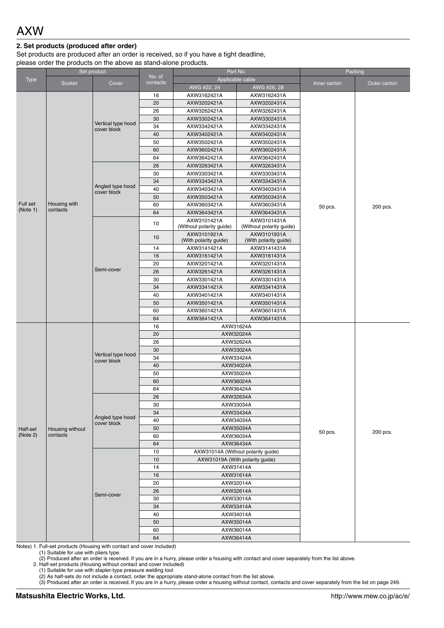#### **2. Set products (produced after order)**

Set products are produced after an order is received, so if you have a tight deadline, please order the products on the above as stand-alone products.

|                      |                             | Set product        | Part No.           |                          | Packing                            |              |              |
|----------------------|-----------------------------|--------------------|--------------------|--------------------------|------------------------------------|--------------|--------------|
| <b>Type</b>          |                             |                    | No. of<br>contacts |                          | Applicable cable                   |              |              |
|                      | Socket                      | Cover              |                    | AWG #22, 24              | AWG #26, 28                        | Inner carton | Outer carton |
|                      |                             |                    | 16                 | AXW3162421A              | AXW3162431A                        |              |              |
|                      |                             |                    | 20                 | AXW3202421A              | AXW3202431A                        |              |              |
|                      |                             | 26                 | AXW3262421A        | AXW3262431A              |                                    |              |              |
|                      |                             | 30                 | AXW3302421A        | AXW3302431A              |                                    |              |              |
|                      | Vertical type hood          | 34                 | AXW3342421A        | AXW3342431A              |                                    |              |              |
|                      |                             | cover block        | 40                 | AXW3402421A              | AXW3402431A                        |              |              |
|                      |                             |                    | 50                 | AXW3502421A              | AXW3502431A                        |              |              |
|                      |                             |                    | 60                 | AXW3602421A              | AXW3602431A                        |              |              |
|                      |                             |                    | 64                 | AXW3642421A              | AXW3642431A                        |              |              |
|                      |                             | 26                 | AXW3263421A        | AXW3263431A              |                                    |              |              |
|                      |                             |                    | 30                 | AXW3303421A              | AXW3303431A                        |              |              |
|                      |                             |                    | 34                 | AXW3343421A              | AXW3343431A                        |              |              |
|                      |                             | Angled type hood   | 40                 | AXW3403421A              | AXW3403431A                        |              |              |
|                      |                             | cover block        | 50                 | AXW3503421A              | AXW3503431A                        |              |              |
| Full set             | Housing with                |                    | 60                 | AXW3603421A              | AXW3603431A                        |              |              |
| (Note 1)             | contacts                    |                    | 64                 | AXW3643421A              | AXW3643431A                        | 50 pcs.      | 200 pcs.     |
|                      |                             |                    |                    | AXW3101421A              | AXW3101431A                        |              |              |
|                      |                             |                    | 10                 | (Without polarity guide) | (Without polarity guide)           |              |              |
|                      |                             |                    |                    | AXW3101921A              | AXW3101931A                        |              |              |
|                      |                             |                    | 10                 | (With polarity guide)    | (With polarity guide)              |              |              |
|                      |                             |                    | 14                 | AXW3141421A              | AXW3141431A                        |              |              |
|                      |                             |                    | 16                 | AXW3161421A              | AXW3161431A                        |              |              |
|                      |                             |                    | 20                 | AXW3201421A              | AXW3201431A                        |              |              |
|                      |                             | Semi-cover         | 26                 | AXW3261421A              | AXW3261431A                        |              |              |
|                      |                             |                    | 30                 | AXW3301421A              | AXW3301431A                        |              |              |
|                      |                             |                    | 34                 | AXW3341421A              | AXW3341431A                        |              |              |
|                      |                             |                    | 40                 | AXW3401421A              | AXW3401431A                        |              |              |
|                      |                             |                    | 50                 | AXW3501421A              | AXW3501431A                        |              |              |
|                      |                             |                    | 60                 | AXW3601421A              | AXW3601431A                        |              |              |
|                      |                             |                    | 64                 | AXW3641421A              | AXW3641431A                        |              |              |
|                      |                             |                    | 16                 |                          | AXW31624A                          |              |              |
|                      |                             |                    | 20                 |                          | AXW32024A                          |              |              |
|                      |                             |                    | 26                 |                          |                                    |              |              |
|                      |                             |                    | 30                 | AXW32624A<br>AXW33024A   |                                    |              |              |
|                      |                             | Vertical type hood | 34                 | AXW33424A                |                                    |              |              |
|                      |                             | cover block        | 40                 | AXW34024A                |                                    |              |              |
|                      |                             |                    | 50                 | AXW35024A                |                                    |              |              |
|                      |                             |                    | 60                 |                          |                                    |              |              |
|                      |                             |                    | 64                 | AXW36024A                |                                    |              |              |
|                      |                             |                    | 26                 | AXW36424A<br>AXW32634A   |                                    |              |              |
|                      |                             |                    | 30                 |                          |                                    |              |              |
|                      |                             |                    | 34                 |                          | AXW33034A                          |              |              |
|                      |                             | Angled type hood   | 40                 |                          | AXW33434A                          |              |              |
|                      |                             | cover block        | 50                 |                          | AXW34034A                          |              |              |
| Half-set<br>(Note 2) | Housing without<br>contacts |                    |                    | AXW35034A<br>AXW36034A   | 50 pcs.                            | 200 pcs.     |              |
|                      |                             |                    | 60                 |                          |                                    |              |              |
|                      |                             |                    | 64                 |                          | AXW36434A                          |              |              |
|                      |                             |                    | 10                 |                          | AXW31014A (Without polarity guide) |              |              |
|                      |                             |                    | 10                 |                          | AXW31019A (With polarity guide)    |              |              |
|                      |                             |                    | 14                 | AXW31414A                |                                    |              |              |
|                      |                             |                    | 16                 |                          | AXW31614A                          |              |              |
|                      |                             |                    | 20                 |                          | AXW32014A                          |              |              |
|                      |                             | Semi-cover         | 26                 |                          | AXW32614A                          |              |              |
|                      |                             |                    | 30                 |                          | AXW33014A                          |              |              |
|                      |                             |                    | 34                 |                          | AXW33414A                          |              |              |
|                      |                             |                    | 40                 |                          | AXW34014A                          |              |              |
|                      |                             |                    | 50                 |                          | AXW35014A                          |              |              |
|                      |                             |                    | 60                 |                          | AXW36014A                          |              |              |
|                      |                             |                    | 64                 | AXW36414A                |                                    |              |              |

Notes) 1. Full-set products (Housing with contact and cover included)

(1) Suitable for use with pliers type.

(2) Produced after an order is received. If you are in a hurry, please order a housing with contact and cover separately from the list above.

2. Half-set products (Housing without contact and cover included)

(1) Suitable for use with stapler-type pressure welding tool

(2) As half-sets do not include a contact, order the appropriate stand-alone contact from the list above.

(3) Produced after an order is received. If you are in a hurry, please order a housing without contact, contacts and cover separately from the list on page 249.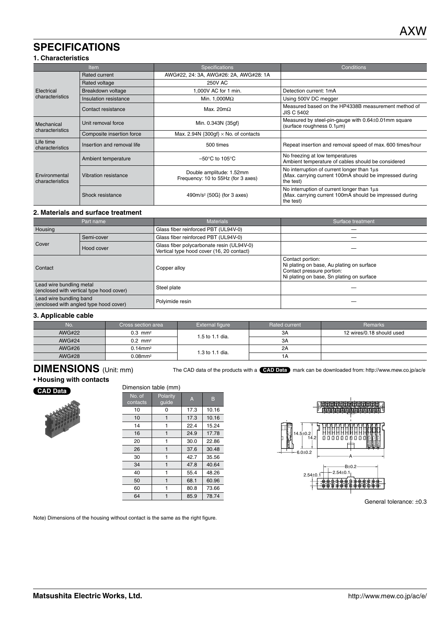### **SPECIFICATIONS**

#### **1. Characteristics**

|                                                                                  | <b>Item</b>                | <b>Specifications</b>                                          | Conditions                                                                                                         |  |
|----------------------------------------------------------------------------------|----------------------------|----------------------------------------------------------------|--------------------------------------------------------------------------------------------------------------------|--|
|                                                                                  | Rated current              | AWG#22, 24: 3A, AWG#26: 2A, AWG#28: 1A                         |                                                                                                                    |  |
|                                                                                  | Rated voltage              | <b>250V AC</b>                                                 |                                                                                                                    |  |
| Electrical                                                                       | Breakdown voltage          | 1,000V AC for 1 min.                                           | Detection current: 1mA                                                                                             |  |
| characteristics                                                                  | Insulation resistance      | Min. 1,000 $M\Omega$                                           | Using 500V DC megger                                                                                               |  |
| Contact resistance                                                               |                            | Max. $20m\Omega$                                               | Measured based on the HP4338B measurement method of<br><b>JIS C 5402</b>                                           |  |
| Unit removal force<br>Mechanical<br>characteristics<br>Composite insertion force |                            | Min. 0.343N {35gf}                                             | Measured by steel-pin-gauge with 0.64±0.01mm square<br>(surface roughness 0.1um)                                   |  |
|                                                                                  |                            | Max. 2.94N $\{300qf\} \times$ No. of contacts                  |                                                                                                                    |  |
| Life time<br>characteristics                                                     | Insertion and removal life | 500 times                                                      | Repeat insertion and removal speed of max. 600 times/hour                                                          |  |
| Ambient temperature                                                              |                            | $-50^{\circ}$ C to 105 $^{\circ}$ C                            | No freezing at low temperatures<br>Ambient temperature of cables should be considered                              |  |
| Environmental<br>characteristics                                                 | Vibration resistance       | Double amplitude: 1.52mm<br>Frequency: 10 to 55Hz (for 3 axes) | No interruption of current longer than 1us<br>(Max. carrying current 100mA should be impressed during<br>the test) |  |
|                                                                                  | Shock resistance           | 490m/s <sup>2</sup> {50G} (for 3 axes)                         | No interruption of current longer than 1µs<br>(Max. carrying current 100mA should be impressed during<br>the test) |  |

#### **2. Materials and surface treatment**

|                                                                      | Part name | <b>Materials</b>                                                                       | Surface treatment                                                                                                                       |
|----------------------------------------------------------------------|-----------|----------------------------------------------------------------------------------------|-----------------------------------------------------------------------------------------------------------------------------------------|
| Housing                                                              |           | Glass fiber reinforced PBT (UL94V-0)                                                   |                                                                                                                                         |
| Semi-cover<br>Cover<br>Hood cover                                    |           | Glass fiber reinforced PBT (UL94V-0)                                                   |                                                                                                                                         |
|                                                                      |           | Glass fiber polycarbonate resin (UL94V-0)<br>Vertical type hood cover (16, 20 contact) |                                                                                                                                         |
| Contact                                                              |           | Copper alloy                                                                           | Contact portion:<br>Ni plating on base, Au plating on surface<br>Contact pressure portion:<br>Ni plating on base, Sn plating on surface |
| Lead wire bundling metal<br>(enclosed with vertical type hood cover) |           | Steel plate                                                                            |                                                                                                                                         |
| Lead wire bundling band<br>(enclosed with angled type hood cover)    |           | Polyimide resin                                                                        |                                                                                                                                         |

#### **3. Applicable cable**

| No.           | Cross section area     | External figure | Rated current | <b>Remarks</b>            |
|---------------|------------------------|-----------------|---------------|---------------------------|
| <b>AWG#22</b> | $0.3$ mm <sup>2</sup>  | 1.5 to 1.1 dia. | 3A            | 12 wires/0.18 should used |
| <b>AWG#24</b> | $0.2 \, \text{mm}^2$   |                 | ЗA            |                           |
| <b>AWG#26</b> | $0.14$ mm <sup>2</sup> | 1.3 to 1.1 dia. | 2A            |                           |
| <b>AWG#28</b> | $0.08$ mm $^2$         |                 | 1А            |                           |

## **DIMENSIONS** (Unit: mm)

The CAD data of the products with a **CAD Data** mark can be downloaded from: http://www.mew.co.jp/ac/e

#### **• Housing with contacts**

#### **CAD Data**



| Dimension table (mm) |                   |                |       |  |
|----------------------|-------------------|----------------|-------|--|
| No. of<br>contacts   | Polarity<br>guide | $\overline{A}$ | в     |  |
| 10                   | 0                 | 17.3           | 10.16 |  |
| 10                   | 1                 | 17.3           | 10.16 |  |
| 14                   | 1                 | 22.4           | 15.24 |  |
| 16                   | 1                 | 24.9           | 17.78 |  |
| 20                   | 1                 | 30.0           | 22.86 |  |
| 26                   | 1                 | 37.6           | 30.48 |  |
| 30                   | 1                 | 42.7           | 35.56 |  |
| 34                   | 1                 | 47.8           | 40.64 |  |
| 40                   | 1                 | 55.4           | 48.26 |  |
| 50                   | 1                 | 68.1           | 60.96 |  |
| 60                   | 1                 | 80.8           | 73.66 |  |
| 64                   |                   | 85.9           | 78.74 |  |



General tolerance: ±0.3

Note) Dimensions of the housing without contact is the same as the right figure.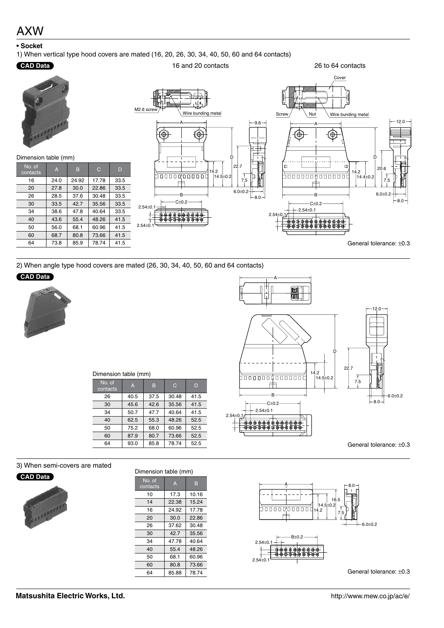### AXW

#### **• Socket**

1) When vertical type hood covers are mated (16, 20, 26, 30, 34, 40, 50, 60 and 64 contacts)

#### **CAD Data**



16 and 20 contacts

2) When angle type hood covers are mated (26, 30, 34, 40, 50, 60 and 64 contacts)

#### **CAD Data**





26 to 64 contacts

#### Dimension table (mm)

| No. of<br>contacts | $\overline{A}$ | B    | C     | D    |
|--------------------|----------------|------|-------|------|
| 26                 | 40.5           | 37.5 | 30.48 | 41.5 |
| 30                 | 45.6           | 42.6 | 35.56 | 41.5 |
| 34                 | 50.7           | 47.7 | 40.64 | 41.5 |
| 40                 | 62.5           | 55.3 | 48.26 | 52.5 |
| 50                 | 75.2           | 68.0 | 60.96 | 52.5 |
| 60                 | 87.9           | 80.7 | 73.66 | 52.5 |
| 64                 | 93.0           | 85.8 | 78.74 | 52.5 |

3) When semi-covers are mated



| в<br>10.16 |
|------------|
|            |
|            |
| 15.24      |
| 17.78      |
| 22.86      |
| 30.48      |
| 35.56      |
| 40.64      |
| 48.26      |
| 60.96      |
| 73.66      |
| 78.74      |
|            |



General tolerance: ±0.3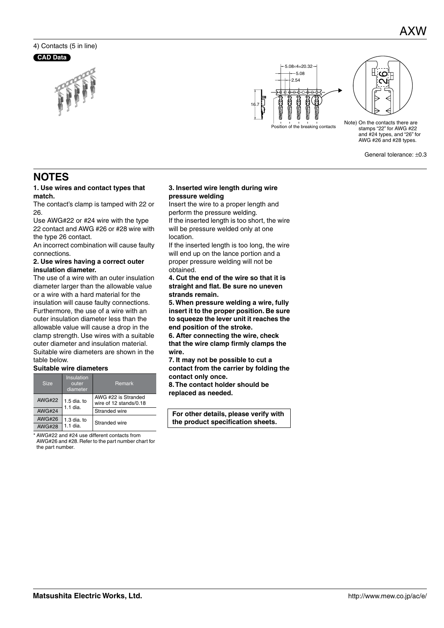### 4) Contacts (5 in line)

#### **CAD Data**





Note) On the contacts there are stamps "22" for AWG #22 and #24 types, and "26" for AWG #26 and #28 types.

 $\epsilon$ 

General tolerance: ±0.3

### **NOTES**

#### **1. Use wires and contact types that match.**

The contact's clamp is tamped with 22 or 26.

Use AWG#22 or #24 wire with the type 22 contact and AWG #26 or #28 wire with the type 26 contact.

An incorrect combination will cause faulty connections.

#### **2. Use wires having a correct outer insulation diameter.**

The use of a wire with an outer insulation diameter larger than the allowable value or a wire with a hard material for the insulation will cause faulty connections. Furthermore, the use of a wire with an outer insulation diameter less than the allowable value will cause a drop in the clamp strength. Use wires with a suitable outer diameter and insulation material. Suitable wire diameters are shown in the table below.

#### **Suitable wire diameters**

| <b>Size</b>   | Insulation<br>outer<br>diameter | <b>Remark</b>                                 |  |  |  |
|---------------|---------------------------------|-----------------------------------------------|--|--|--|
| <b>AWG#22</b> | $1.5$ dia. to<br>$1.1$ dia.     | AWG #22 is Stranded<br>wire of 12 stands/0.18 |  |  |  |
| <b>AWG#24</b> |                                 | Stranded wire                                 |  |  |  |
| <b>AWG#26</b> | $1.3$ dia. to                   | Stranded wire                                 |  |  |  |
| <b>AWG#28</b> | 1 1 dia                         |                                               |  |  |  |

\* AWG#22 and #24 use different contacts from

AWG#26 and #28. Refer to the part number chart for the part number.

#### **3. Inserted wire length during wire pressure welding**

Insert the wire to a proper length and perform the pressure welding.

If the inserted length is too short, the wire will be pressure welded only at one location.

If the inserted length is too long, the wire will end up on the lance portion and a proper pressure welding will not be obtained.

**4. Cut the end of the wire so that it is straight and flat. Be sure no uneven strands remain.**

**5. When pressure welding a wire, fully insert it to the proper position. Be sure to squeeze the lever unit it reaches the end position of the stroke.**

**6. After connecting the wire, check that the wire clamp firmly clamps the wire.**

**7. It may not be possible to cut a contact from the carrier by folding the contact only once.**

**8. The contact holder should be** 

**replaced as needed.**

**For other details, please verify with the product specification sheets.**